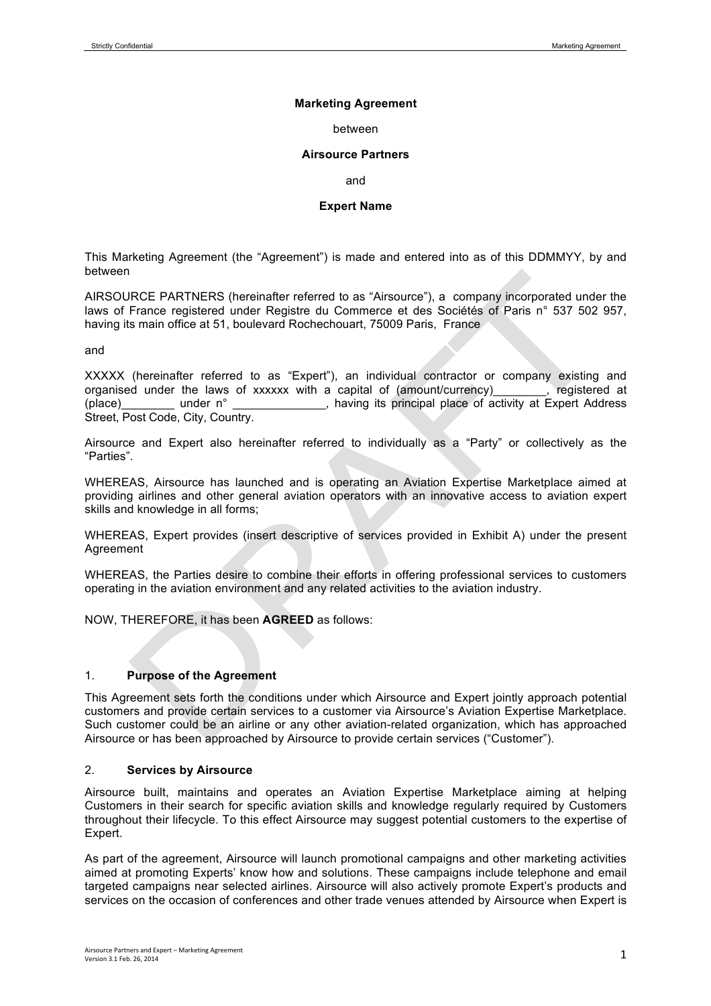### **Marketing Agreement**

#### between

#### **Airsource Partners**

and

#### **Expert Name**

This Marketing Agreement (the "Agreement") is made and entered into as of this DDMMYY, by and between

AIRSOURCE PARTNERS (hereinafter referred to as "Airsource"), a company incorporated under the laws of France registered under Registre du Commerce et des Sociétés of Paris n° 537 502 957, having its main office at 51, boulevard Rochechouart, 75009 Paris, France

and

XXXXX (hereinafter referred to as "Expert"), an individual contractor or company existing and organised under the laws of xxxxxx with a capital of (amount/currency) . registered at organised under the laws of xxxxxx with a capital of (amount/currency) (place) under n° entity is principal place of activity at Expert Address Street, Post Code, City, Country.

Airsource and Expert also hereinafter referred to individually as a "Party" or collectively as the "Parties".

WHEREAS, Airsource has launched and is operating an Aviation Expertise Marketplace aimed at providing airlines and other general aviation operators with an innovative access to aviation expert skills and knowledge in all forms;

WHEREAS, Expert provides (insert descriptive of services provided in Exhibit A) under the present Agreement

WHEREAS, the Parties desire to combine their efforts in offering professional services to customers operating in the aviation environment and any related activities to the aviation industry.

NOW, THEREFORE, it has been **AGREED** as follows:

# 1. **Purpose of the Agreement**

This Agreement sets forth the conditions under which Airsource and Expert jointly approach potential customers and provide certain services to a customer via Airsource's Aviation Expertise Marketplace. Such customer could be an airline or any other aviation-related organization, which has approached Airsource or has been approached by Airsource to provide certain services ("Customer").

#### 2. **Services by Airsource**

Airsource built, maintains and operates an Aviation Expertise Marketplace aiming at helping Customers in their search for specific aviation skills and knowledge regularly required by Customers throughout their lifecycle. To this effect Airsource may suggest potential customers to the expertise of Expert.

As part of the agreement, Airsource will launch promotional campaigns and other marketing activities aimed at promoting Experts' know how and solutions. These campaigns include telephone and email targeted campaigns near selected airlines. Airsource will also actively promote Expert's products and services on the occasion of conferences and other trade venues attended by Airsource when Expert is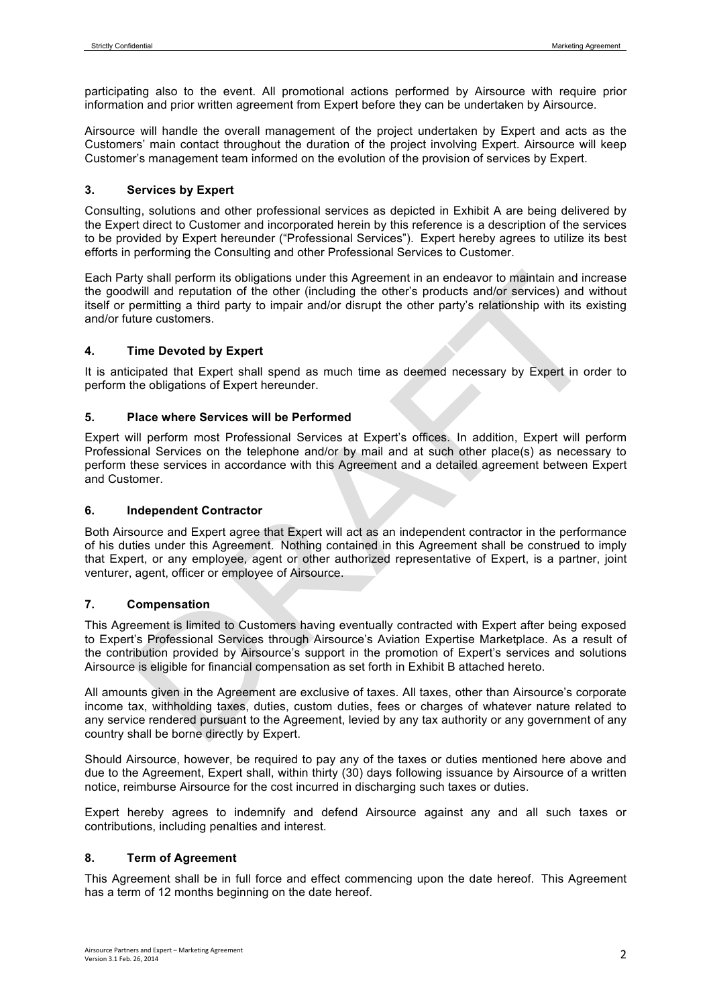participating also to the event. All promotional actions performed by Airsource with require prior information and prior written agreement from Expert before they can be undertaken by Airsource.

Airsource will handle the overall management of the project undertaken by Expert and acts as the Customers' main contact throughout the duration of the project involving Expert. Airsource will keep Customer's management team informed on the evolution of the provision of services by Expert.

### **3. Services by Expert**

Consulting, solutions and other professional services as depicted in Exhibit A are being delivered by the Expert direct to Customer and incorporated herein by this reference is a description of the services to be provided by Expert hereunder ("Professional Services"). Expert hereby agrees to utilize its best efforts in performing the Consulting and other Professional Services to Customer.

Each Party shall perform its obligations under this Agreement in an endeavor to maintain and increase the goodwill and reputation of the other (including the other's products and/or services) and without itself or permitting a third party to impair and/or disrupt the other party's relationship with its existing and/or future customers.

# **4. Time Devoted by Expert**

It is anticipated that Expert shall spend as much time as deemed necessary by Expert in order to perform the obligations of Expert hereunder.

### **5. Place where Services will be Performed**

Expert will perform most Professional Services at Expert's offices. In addition, Expert will perform Professional Services on the telephone and/or by mail and at such other place(s) as necessary to perform these services in accordance with this Agreement and a detailed agreement between Expert and Customer.

#### **6. Independent Contractor**

Both Airsource and Expert agree that Expert will act as an independent contractor in the performance of his duties under this Agreement. Nothing contained in this Agreement shall be construed to imply that Expert, or any employee, agent or other authorized representative of Expert, is a partner, joint venturer, agent, officer or employee of Airsource.

# **7. Compensation**

This Agreement is limited to Customers having eventually contracted with Expert after being exposed to Expert's Professional Services through Airsource's Aviation Expertise Marketplace. As a result of the contribution provided by Airsource's support in the promotion of Expert's services and solutions Airsource is eligible for financial compensation as set forth in Exhibit B attached hereto.

All amounts given in the Agreement are exclusive of taxes. All taxes, other than Airsource's corporate income tax, withholding taxes, duties, custom duties, fees or charges of whatever nature related to any service rendered pursuant to the Agreement, levied by any tax authority or any government of any country shall be borne directly by Expert.

Should Airsource, however, be required to pay any of the taxes or duties mentioned here above and due to the Agreement, Expert shall, within thirty (30) days following issuance by Airsource of a written notice, reimburse Airsource for the cost incurred in discharging such taxes or duties.

Expert hereby agrees to indemnify and defend Airsource against any and all such taxes or contributions, including penalties and interest.

# **8. Term of Agreement**

This Agreement shall be in full force and effect commencing upon the date hereof. This Agreement has a term of 12 months beginning on the date hereof.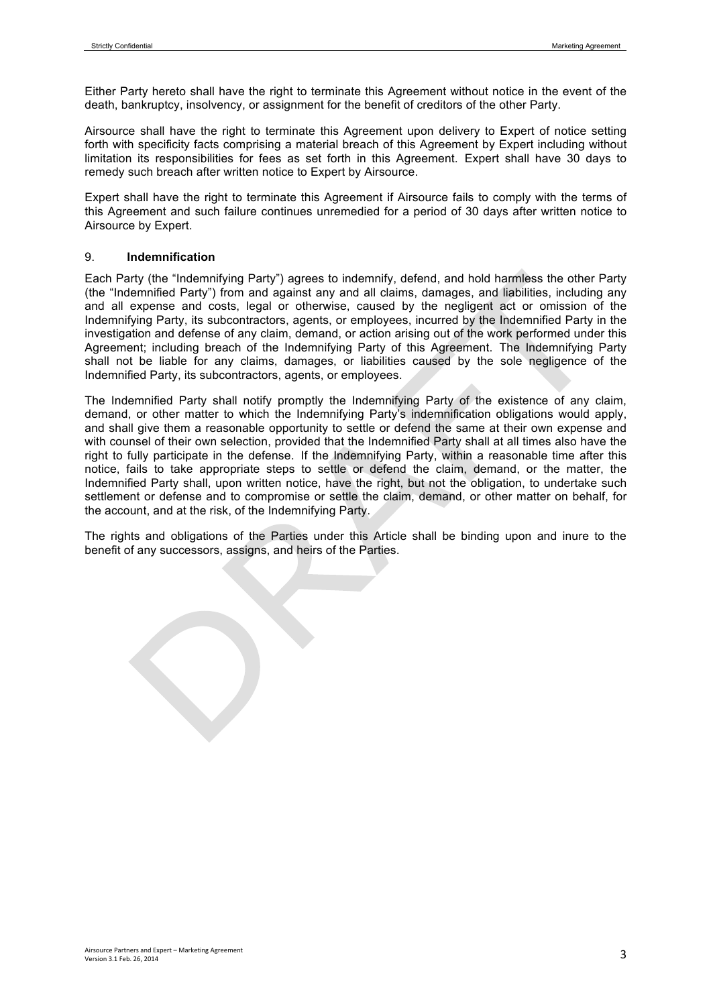Either Party hereto shall have the right to terminate this Agreement without notice in the event of the death, bankruptcy, insolvency, or assignment for the benefit of creditors of the other Party.

Airsource shall have the right to terminate this Agreement upon delivery to Expert of notice setting forth with specificity facts comprising a material breach of this Agreement by Expert including without limitation its responsibilities for fees as set forth in this Agreement. Expert shall have 30 days to remedy such breach after written notice to Expert by Airsource.

Expert shall have the right to terminate this Agreement if Airsource fails to comply with the terms of this Agreement and such failure continues unremedied for a period of 30 days after written notice to Airsource by Expert.

### 9. **Indemnification**

Each Party (the "Indemnifying Party") agrees to indemnify, defend, and hold harmless the other Party (the "Indemnified Party") from and against any and all claims, damages, and liabilities, including any and all expense and costs, legal or otherwise, caused by the negligent act or omission of the Indemnifying Party, its subcontractors, agents, or employees, incurred by the Indemnified Party in the investigation and defense of any claim, demand, or action arising out of the work performed under this Agreement; including breach of the Indemnifying Party of this Agreement. The Indemnifying Party shall not be liable for any claims, damages, or liabilities caused by the sole negligence of the Indemnified Party, its subcontractors, agents, or employees.

The Indemnified Party shall notify promptly the Indemnifying Party of the existence of any claim, demand, or other matter to which the Indemnifying Party's indemnification obligations would apply, and shall give them a reasonable opportunity to settle or defend the same at their own expense and with counsel of their own selection, provided that the Indemnified Party shall at all times also have the right to fully participate in the defense. If the Indemnifying Party, within a reasonable time after this notice, fails to take appropriate steps to settle or defend the claim, demand, or the matter, the Indemnified Party shall, upon written notice, have the right, but not the obligation, to undertake such settlement or defense and to compromise or settle the claim, demand, or other matter on behalf, for the account, and at the risk, of the Indemnifying Party.

The rights and obligations of the Parties under this Article shall be binding upon and inure to the benefit of any successors, assigns, and heirs of the Parties.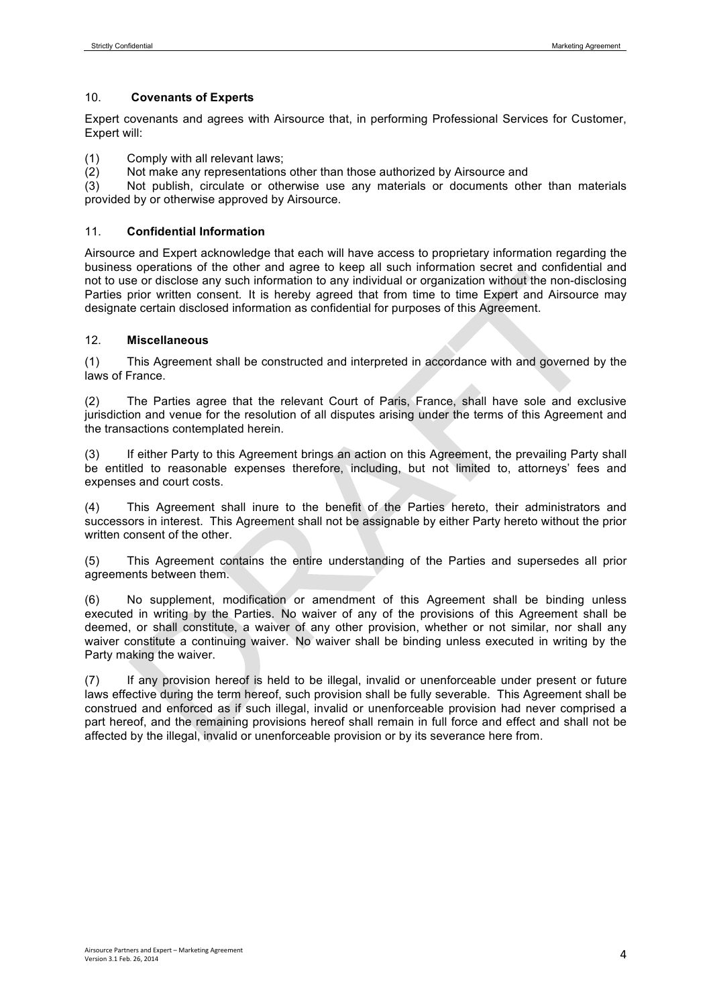### 10. **Covenants of Experts**

Expert covenants and agrees with Airsource that, in performing Professional Services for Customer, Expert will:

- (1) Comply with all relevant laws;
- (2) Not make any representations other than those authorized by Airsource and (3) Not publish, circulate or otherwise use any materials or documents oth

Not publish, circulate or otherwise use any materials or documents other than materials provided by or otherwise approved by Airsource.

### 11. **Confidential Information**

Airsource and Expert acknowledge that each will have access to proprietary information regarding the business operations of the other and agree to keep all such information secret and confidential and not to use or disclose any such information to any individual or organization without the non-disclosing Parties prior written consent. It is hereby agreed that from time to time Expert and Airsource may designate certain disclosed information as confidential for purposes of this Agreement.

### 12. **Miscellaneous**

(1) This Agreement shall be constructed and interpreted in accordance with and governed by the laws of France.

(2) The Parties agree that the relevant Court of Paris, France, shall have sole and exclusive jurisdiction and venue for the resolution of all disputes arising under the terms of this Agreement and the transactions contemplated herein.

(3) If either Party to this Agreement brings an action on this Agreement, the prevailing Party shall be entitled to reasonable expenses therefore, including, but not limited to, attorneys' fees and expenses and court costs.

(4) This Agreement shall inure to the benefit of the Parties hereto, their administrators and successors in interest. This Agreement shall not be assignable by either Party hereto without the prior written consent of the other.

(5) This Agreement contains the entire understanding of the Parties and supersedes all prior agreements between them.

(6) No supplement, modification or amendment of this Agreement shall be binding unless executed in writing by the Parties. No waiver of any of the provisions of this Agreement shall be deemed, or shall constitute, a waiver of any other provision, whether or not similar, nor shall any waiver constitute a continuing waiver. No waiver shall be binding unless executed in writing by the Party making the waiver.

(7) If any provision hereof is held to be illegal, invalid or unenforceable under present or future laws effective during the term hereof, such provision shall be fully severable. This Agreement shall be construed and enforced as if such illegal, invalid or unenforceable provision had never comprised a part hereof, and the remaining provisions hereof shall remain in full force and effect and shall not be affected by the illegal, invalid or unenforceable provision or by its severance here from.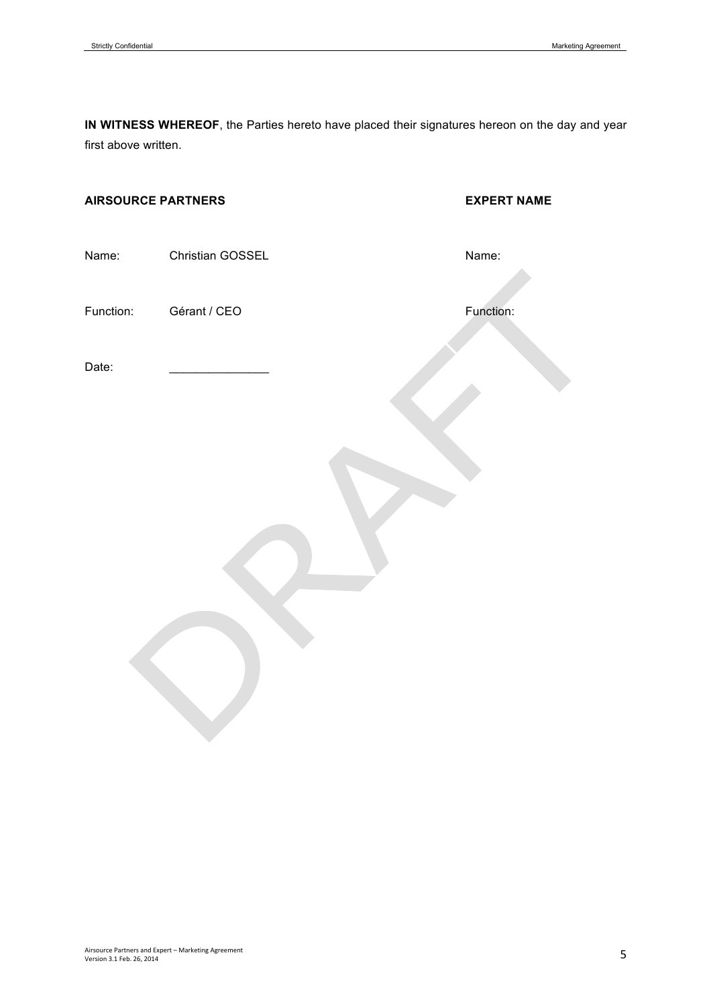**IN WITNESS WHEREOF**, the Parties hereto have placed their signatures hereon on the day and year first above written.

# **AIRSOURCE PARTNERS EXPERT NAME**

Name: Christian GOSSEL Name: Name:

Function: Gérant / CEO Function: Function:

Date: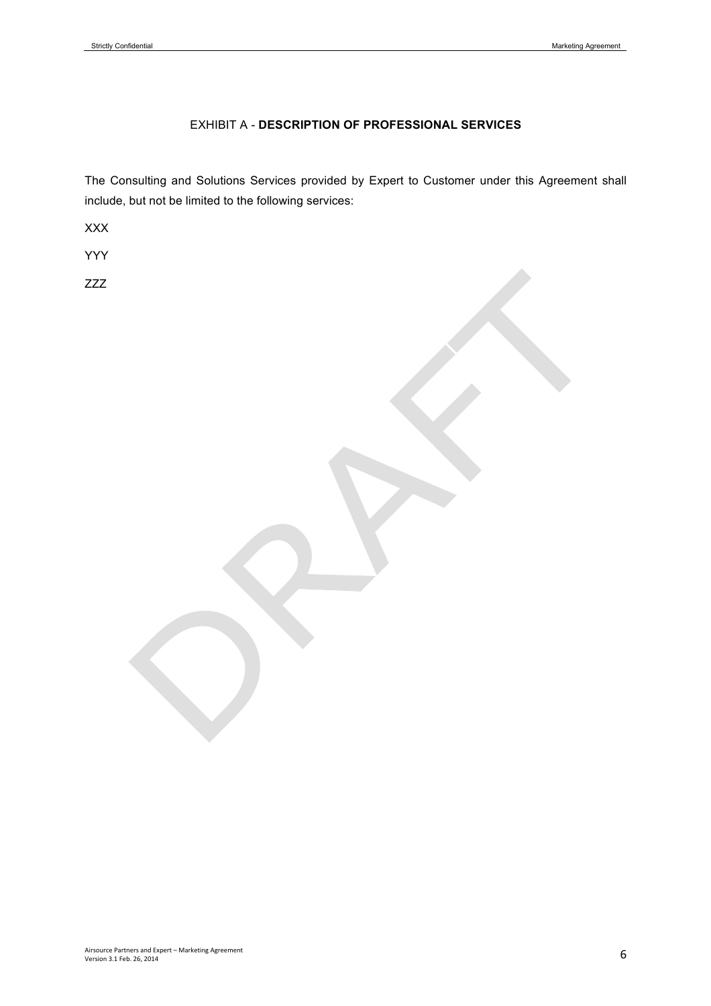# EXHIBIT A - **DESCRIPTION OF PROFESSIONAL SERVICES**

The Consulting and Solutions Services provided by Expert to Customer under this Agreement shall include, but not be limited to the following services:

XXX

YYY

ZZZ